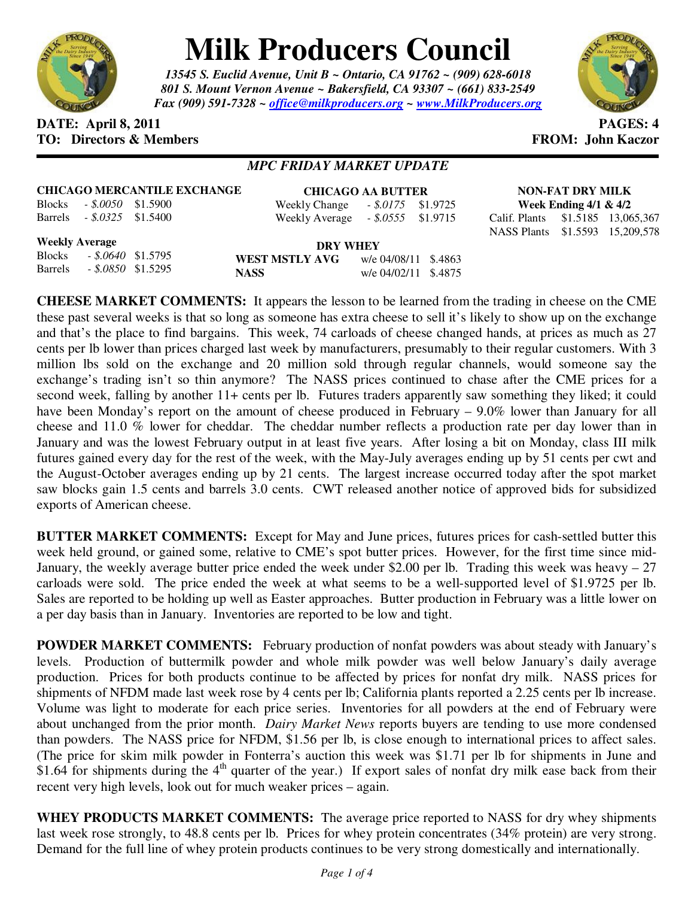

## **Milk Producers Council**

*13545 S. Euclid Avenue, Unit B ~ Ontario, CA 91762 ~ (909) 628-6018 801 S. Mount Vernon Avenue ~ Bakersfield, CA 93307 ~ (661) 833-2549 Fax (909) 591-7328 ~ office@milkproducers.org ~ www.MilkProducers.org*



## **DATE: April 8, 2011 PAGES: 4 TO: Directors & Members TO: Piccore All Members FROM: John Kaczor**

## *MPC FRIDAY MARKET UPDATE*

**CHICAGO MERCANTILE EXCHANGE** Blocks *- \$.0050* \$1.5900

**CHICAGO AA BUTTER** Weekly Change *- \$.0175* \$1.9725 Weekly Average *- \$.0555* \$1.9715

**NON-FAT DRY MILK Week Ending 4/1 & 4/2**  Calif. Plants \$1.5185 13,065,367

NASS Plants \$1.5593 15,209,578

**Weekly Average** Blocks *- \$.0640* \$1.5795 Barrels *- \$.0850* \$1.5295

Barrels *- \$.0325* \$1.5400

**DRY WHEY WEST MSTLY AVG** w/e 04/08/11 \$.4863 **NASS** w/e 04/02/11 \$.4875

**CHEESE MARKET COMMENTS:** It appears the lesson to be learned from the trading in cheese on the CME these past several weeks is that so long as someone has extra cheese to sell it's likely to show up on the exchange and that's the place to find bargains. This week, 74 carloads of cheese changed hands, at prices as much as 27 cents per lb lower than prices charged last week by manufacturers, presumably to their regular customers. With 3 million lbs sold on the exchange and 20 million sold through regular channels, would someone say the exchange's trading isn't so thin anymore? The NASS prices continued to chase after the CME prices for a second week, falling by another 11+ cents per lb. Futures traders apparently saw something they liked; it could have been Monday's report on the amount of cheese produced in February – 9.0% lower than January for all cheese and 11.0 % lower for cheddar. The cheddar number reflects a production rate per day lower than in January and was the lowest February output in at least five years. After losing a bit on Monday, class III milk futures gained every day for the rest of the week, with the May-July averages ending up by 51 cents per cwt and the August-October averages ending up by 21 cents. The largest increase occurred today after the spot market saw blocks gain 1.5 cents and barrels 3.0 cents. CWT released another notice of approved bids for subsidized exports of American cheese.

**BUTTER MARKET COMMENTS:** Except for May and June prices, futures prices for cash-settled butter this week held ground, or gained some, relative to CME's spot butter prices. However, for the first time since mid-January, the weekly average butter price ended the week under \$2.00 per lb. Trading this week was heavy  $-27$ carloads were sold. The price ended the week at what seems to be a well-supported level of \$1.9725 per lb. Sales are reported to be holding up well as Easter approaches. Butter production in February was a little lower on a per day basis than in January. Inventories are reported to be low and tight.

**POWDER MARKET COMMENTS:** February production of nonfat powders was about steady with January's levels. Production of buttermilk powder and whole milk powder was well below January's daily average production. Prices for both products continue to be affected by prices for nonfat dry milk. NASS prices for shipments of NFDM made last week rose by 4 cents per lb; California plants reported a 2.25 cents per lb increase. Volume was light to moderate for each price series. Inventories for all powders at the end of February were about unchanged from the prior month. *Dairy Market News* reports buyers are tending to use more condensed than powders. The NASS price for NFDM, \$1.56 per lb, is close enough to international prices to affect sales. (The price for skim milk powder in Fonterra's auction this week was \$1.71 per lb for shipments in June and \$1.64 for shipments during the  $4<sup>th</sup>$  quarter of the year.) If export sales of nonfat dry milk ease back from their recent very high levels, look out for much weaker prices – again.

**WHEY PRODUCTS MARKET COMMENTS:** The average price reported to NASS for dry whey shipments last week rose strongly, to 48.8 cents per lb. Prices for whey protein concentrates (34% protein) are very strong. Demand for the full line of whey protein products continues to be very strong domestically and internationally.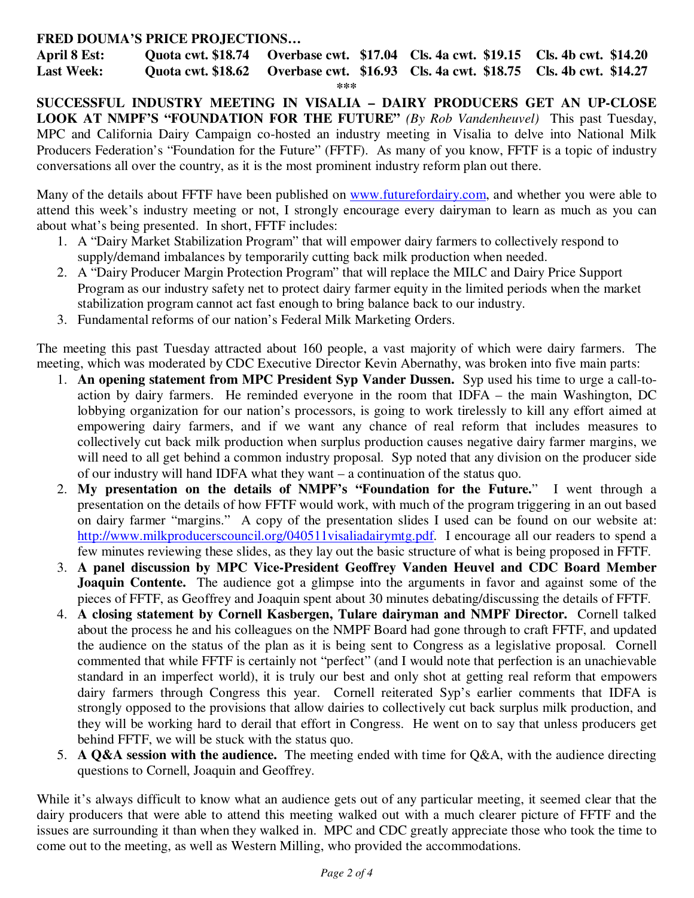## **FRED DOUMA'S PRICE PROJECTIONS…**

**April 8 Est: Quota cwt. \$18.74 Overbase cwt. \$17.04 Cls. 4a cwt. \$19.15 Cls. 4b cwt. \$14.20 Last Week: Quota cwt. \$18.62 Overbase cwt. \$16.93 Cls. 4a cwt. \$18.75 Cls. 4b cwt. \$14.27 \*\*\*** 

**SUCCESSFUL INDUSTRY MEETING IN VISALIA – DAIRY PRODUCERS GET AN UP-CLOSE LOOK AT NMPF'S "FOUNDATION FOR THE FUTURE"** *(By Rob Vandenheuvel)* This past Tuesday, MPC and California Dairy Campaign co-hosted an industry meeting in Visalia to delve into National Milk Producers Federation's "Foundation for the Future" (FFTF). As many of you know, FFTF is a topic of industry conversations all over the country, as it is the most prominent industry reform plan out there.

Many of the details about FFTF have been published on www.futurefordairy.com, and whether you were able to attend this week's industry meeting or not, I strongly encourage every dairyman to learn as much as you can about what's being presented. In short, FFTF includes:

- 1. A "Dairy Market Stabilization Program" that will empower dairy farmers to collectively respond to supply/demand imbalances by temporarily cutting back milk production when needed.
- 2. A "Dairy Producer Margin Protection Program" that will replace the MILC and Dairy Price Support Program as our industry safety net to protect dairy farmer equity in the limited periods when the market stabilization program cannot act fast enough to bring balance back to our industry.
- 3. Fundamental reforms of our nation's Federal Milk Marketing Orders.

The meeting this past Tuesday attracted about 160 people, a vast majority of which were dairy farmers. The meeting, which was moderated by CDC Executive Director Kevin Abernathy, was broken into five main parts:

- 1. **An opening statement from MPC President Syp Vander Dussen.** Syp used his time to urge a call-toaction by dairy farmers. He reminded everyone in the room that IDFA – the main Washington, DC lobbying organization for our nation's processors, is going to work tirelessly to kill any effort aimed at empowering dairy farmers, and if we want any chance of real reform that includes measures to collectively cut back milk production when surplus production causes negative dairy farmer margins, we will need to all get behind a common industry proposal. Syp noted that any division on the producer side of our industry will hand IDFA what they want – a continuation of the status quo.
- 2. **My presentation on the details of NMPF's "Foundation for the Future.**" I went through a presentation on the details of how FFTF would work, with much of the program triggering in an out based on dairy farmer "margins." A copy of the presentation slides I used can be found on our website at: http://www.milkproducerscouncil.org/040511visaliadairymtg.pdf. I encourage all our readers to spend a few minutes reviewing these slides, as they lay out the basic structure of what is being proposed in FFTF.
- 3. **A panel discussion by MPC Vice-President Geoffrey Vanden Heuvel and CDC Board Member Joaquin Contente.** The audience got a glimpse into the arguments in favor and against some of the pieces of FFTF, as Geoffrey and Joaquin spent about 30 minutes debating/discussing the details of FFTF.
- 4. **A closing statement by Cornell Kasbergen, Tulare dairyman and NMPF Director.** Cornell talked about the process he and his colleagues on the NMPF Board had gone through to craft FFTF, and updated the audience on the status of the plan as it is being sent to Congress as a legislative proposal. Cornell commented that while FFTF is certainly not "perfect" (and I would note that perfection is an unachievable standard in an imperfect world), it is truly our best and only shot at getting real reform that empowers dairy farmers through Congress this year. Cornell reiterated Syp's earlier comments that IDFA is strongly opposed to the provisions that allow dairies to collectively cut back surplus milk production, and they will be working hard to derail that effort in Congress. He went on to say that unless producers get behind FFTF, we will be stuck with the status quo.
- 5. **A Q&A session with the audience.** The meeting ended with time for Q&A, with the audience directing questions to Cornell, Joaquin and Geoffrey.

While it's always difficult to know what an audience gets out of any particular meeting, it seemed clear that the dairy producers that were able to attend this meeting walked out with a much clearer picture of FFTF and the issues are surrounding it than when they walked in. MPC and CDC greatly appreciate those who took the time to come out to the meeting, as well as Western Milling, who provided the accommodations.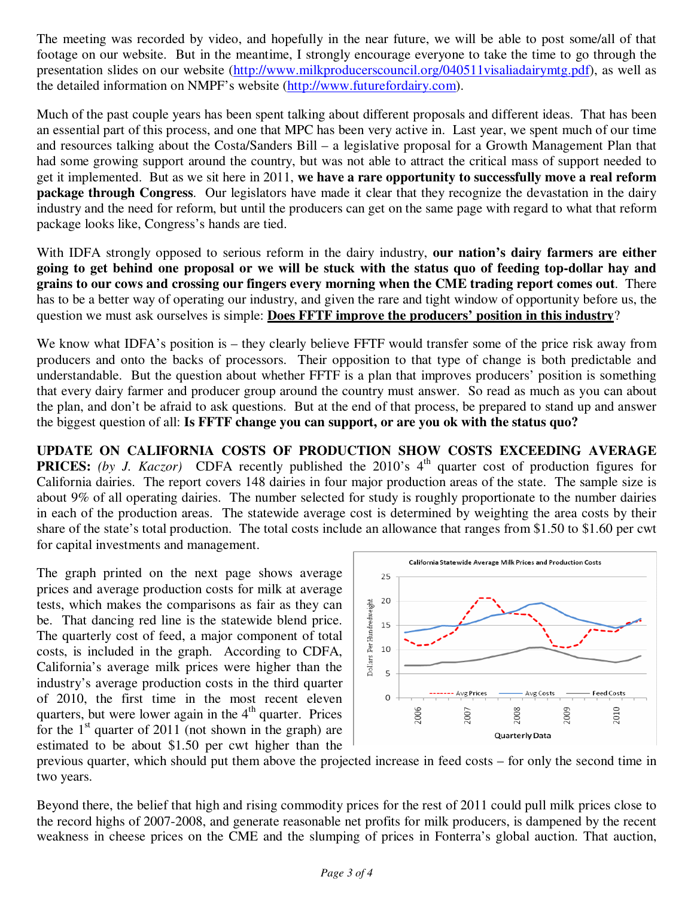The meeting was recorded by video, and hopefully in the near future, we will be able to post some/all of that footage on our website. But in the meantime, I strongly encourage everyone to take the time to go through the presentation slides on our website (http://www.milkproducerscouncil.org/040511visaliadairymtg.pdf), as well as the detailed information on NMPF's website (http://www.futurefordairy.com).

Much of the past couple years has been spent talking about different proposals and different ideas. That has been an essential part of this process, and one that MPC has been very active in. Last year, we spent much of our time and resources talking about the Costa/Sanders Bill – a legislative proposal for a Growth Management Plan that had some growing support around the country, but was not able to attract the critical mass of support needed to get it implemented. But as we sit here in 2011, **we have a rare opportunity to successfully move a real reform package through Congress**. Our legislators have made it clear that they recognize the devastation in the dairy industry and the need for reform, but until the producers can get on the same page with regard to what that reform package looks like, Congress's hands are tied.

With IDFA strongly opposed to serious reform in the dairy industry, **our nation's dairy farmers are either going to get behind one proposal or we will be stuck with the status quo of feeding top-dollar hay and grains to our cows and crossing our fingers every morning when the CME trading report comes out**. There has to be a better way of operating our industry, and given the rare and tight window of opportunity before us, the question we must ask ourselves is simple: **Does FFTF improve the producers' position in this industry**?

We know what IDFA's position is – they clearly believe FFTF would transfer some of the price risk away from producers and onto the backs of processors. Their opposition to that type of change is both predictable and understandable. But the question about whether FFTF is a plan that improves producers' position is something that every dairy farmer and producer group around the country must answer. So read as much as you can about the plan, and don't be afraid to ask questions. But at the end of that process, be prepared to stand up and answer the biggest question of all: **Is FFTF change you can support, or are you ok with the status quo?**

**UPDATE ON CALIFORNIA COSTS OF PRODUCTION SHOW COSTS EXCEEDING AVERAGE PRICES:** *(by J. Kaczor)* CDFA recently published the 2010's 4<sup>th</sup> quarter cost of production figures for California dairies. The report covers 148 dairies in four major production areas of the state. The sample size is about 9% of all operating dairies. The number selected for study is roughly proportionate to the number dairies in each of the production areas. The statewide average cost is determined by weighting the area costs by their share of the state's total production. The total costs include an allowance that ranges from \$1.50 to \$1.60 per cwt for capital investments and management.

The graph printed on the next page shows average prices and average production costs for milk at average tests, which makes the comparisons as fair as they can be. That dancing red line is the statewide blend price. The quarterly cost of feed, a major component of total costs, is included in the graph. According to CDFA, California's average milk prices were higher than the industry's average production costs in the third quarter of 2010, the first time in the most recent eleven quarters, but were lower again in the  $4<sup>th</sup>$  quarter. Prices for the  $1<sup>st</sup>$  quarter of 2011 (not shown in the graph) are estimated to be about \$1.50 per cwt higher than the



previous quarter, which should put them above the projected increase in feed costs – for only the second time in two years.

Beyond there, the belief that high and rising commodity prices for the rest of 2011 could pull milk prices close to the record highs of 2007-2008, and generate reasonable net profits for milk producers, is dampened by the recent weakness in cheese prices on the CME and the slumping of prices in Fonterra's global auction. That auction,